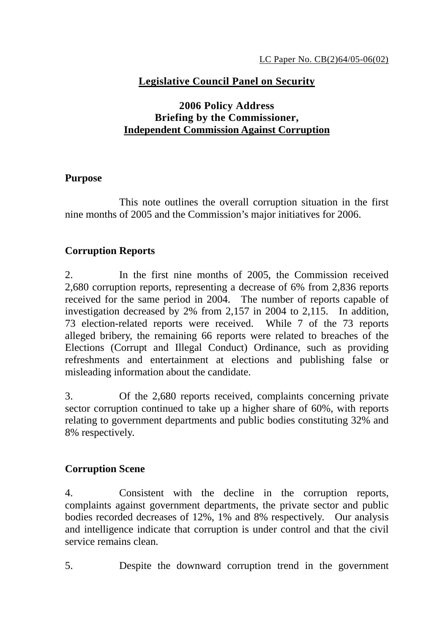# **Legislative Council Panel on Security**

## **2006 Policy Address Briefing by the Commissioner, Independent Commission Against Corruption**

#### **Purpose**

 This note outlines the overall corruption situation in the first nine months of 2005 and the Commission's major initiatives for 2006.

## **Corruption Reports**

2. In the first nine months of 2005, the Commission received 2,680 corruption reports, representing a decrease of 6% from 2,836 reports received for the same period in 2004. The number of reports capable of investigation decreased by 2% from 2,157 in 2004 to 2,115. In addition, 73 election-related reports were received. While 7 of the 73 reports alleged bribery, the remaining 66 reports were related to breaches of the Elections (Corrupt and Illegal Conduct) Ordinance, such as providing refreshments and entertainment at elections and publishing false or misleading information about the candidate.

3. Of the 2,680 reports received, complaints concerning private sector corruption continued to take up a higher share of 60%, with reports relating to government departments and public bodies constituting 32% and 8% respectively.

# **Corruption Scene**

4. Consistent with the decline in the corruption reports, complaints against government departments, the private sector and public bodies recorded decreases of 12%, 1% and 8% respectively. Our analysis and intelligence indicate that corruption is under control and that the civil service remains clean.

5. Despite the downward corruption trend in the government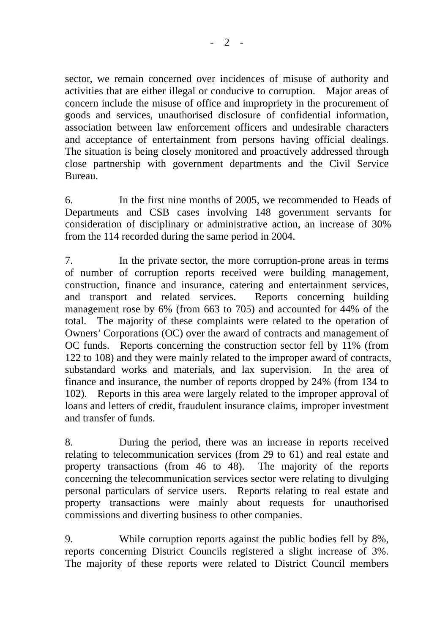sector, we remain concerned over incidences of misuse of authority and activities that are either illegal or conducive to corruption. Major areas of concern include the misuse of office and impropriety in the procurement of goods and services, unauthorised disclosure of confidential information, association between law enforcement officers and undesirable characters and acceptance of entertainment from persons having official dealings. The situation is being closely monitored and proactively addressed through close partnership with government departments and the Civil Service Bureau.

6. In the first nine months of 2005, we recommended to Heads of Departments and CSB cases involving 148 government servants for consideration of disciplinary or administrative action, an increase of 30% from the 114 recorded during the same period in 2004.

7. In the private sector, the more corruption-prone areas in terms of number of corruption reports received were building management, construction, finance and insurance, catering and entertainment services, and transport and related services. Reports concerning building management rose by 6% (from 663 to 705) and accounted for 44% of the total. The majority of these complaints were related to the operation of Owners' Corporations (OC) over the award of contracts and management of OC funds. Reports concerning the construction sector fell by 11% (from 122 to 108) and they were mainly related to the improper award of contracts, substandard works and materials, and lax supervision. In the area of finance and insurance, the number of reports dropped by 24% (from 134 to 102). Reports in this area were largely related to the improper approval of loans and letters of credit, fraudulent insurance claims, improper investment and transfer of funds.

8. During the period, there was an increase in reports received relating to telecommunication services (from 29 to 61) and real estate and property transactions (from 46 to 48). The majority of the reports concerning the telecommunication services sector were relating to divulging personal particulars of service users. Reports relating to real estate and property transactions were mainly about requests for unauthorised commissions and diverting business to other companies.

9. While corruption reports against the public bodies fell by 8%, reports concerning District Councils registered a slight increase of 3%. The majority of these reports were related to District Council members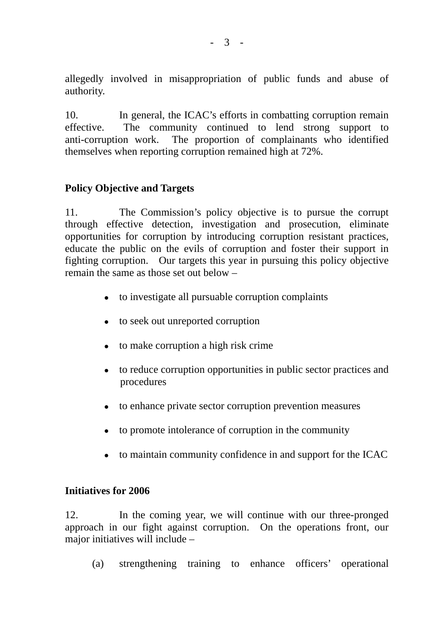allegedly involved in misappropriation of public funds and abuse of authority.

10. In general, the ICAC's efforts in combatting corruption remain effective. The community continued to lend strong support to anti-corruption work. The proportion of complainants who identified themselves when reporting corruption remained high at 72%.

## **Policy Objective and Targets**

11. The Commission's policy objective is to pursue the corrupt through effective detection, investigation and prosecution, eliminate opportunities for corruption by introducing corruption resistant practices, educate the public on the evils of corruption and foster their support in fighting corruption. Our targets this year in pursuing this policy objective remain the same as those set out below –

- $\bullet$  to investigate all pursuable corruption complaints
- $\bullet$  to seek out unreported corruption
- $\bullet$  to make corruption a high risk crime
- $\bullet$  to reduce corruption opportunities in public sector practices and procedures
- to enhance private sector corruption prevention measures
- $\bullet$  to promote intolerance of corruption in the community
- to maintain community confidence in and support for the ICAC

#### **Initiatives for 2006**

12. In the coming year, we will continue with our three-pronged approach in our fight against corruption. On the operations front, our major initiatives will include –

(a) strengthening training to enhance officers' operational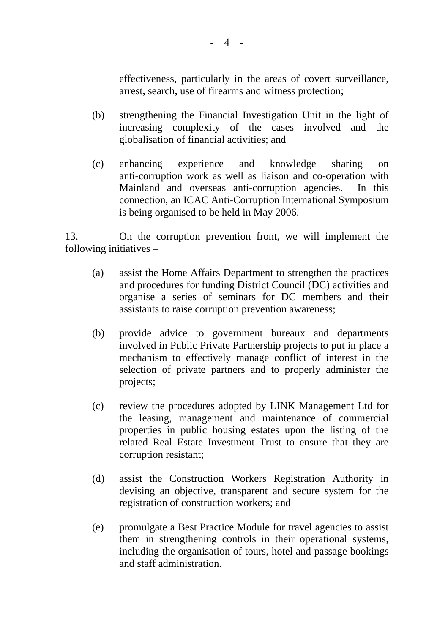effectiveness, particularly in the areas of covert surveillance, arrest, search, use of firearms and witness protection;

- (b) strengthening the Financial Investigation Unit in the light of increasing complexity of the cases involved and the globalisation of financial activities; and
- (c) enhancing experience and knowledge sharing on anti-corruption work as well as liaison and co-operation with Mainland and overseas anti-corruption agencies. In this connection, an ICAC Anti-Corruption International Symposium is being organised to be held in May 2006.

13. On the corruption prevention front, we will implement the following initiatives –

- (a) assist the Home Affairs Department to strengthen the practices and procedures for funding District Council (DC) activities and organise a series of seminars for DC members and their assistants to raise corruption prevention awareness;
- (b) provide advice to government bureaux and departments involved in Public Private Partnership projects to put in place a mechanism to effectively manage conflict of interest in the selection of private partners and to properly administer the projects;
- (c) review the procedures adopted by LINK Management Ltd for the leasing, management and maintenance of commercial properties in public housing estates upon the listing of the related Real Estate Investment Trust to ensure that they are corruption resistant;
- (d) assist the Construction Workers Registration Authority in devising an objective, transparent and secure system for the registration of construction workers; and
- (e) promulgate a Best Practice Module for travel agencies to assist them in strengthening controls in their operational systems, including the organisation of tours, hotel and passage bookings and staff administration.